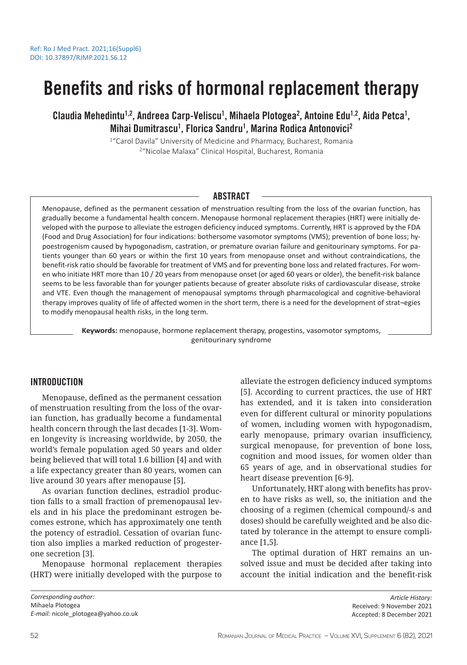# Benefits and risks of hormonal replacement therapy

Claudia Mehedintu<sup>1,2</sup>, Andreea Carp-Veliscu<sup>1</sup>, Mihaela Plotogea<sup>2</sup>, Antoine Edu<sup>1,2</sup>, Aida Petca<sup>1</sup>, Mihai Dumitrascu<sup>1</sup>, Florica Sandru<sup>1</sup>, Marina Rodica Antonovici<sup>2</sup>

> <sup>1</sup>"Carol Davila" University of Medicine and Pharmacy, Bucharest, Romania 2 "Nicolae Malaxa" Clinical Hospital, Bucharest, Romania

## ABSTRACT

Menopause, defined as the permanent cessation of menstruation resulting from the loss of the ovarian function, has gradually become a fundamental health concern. Menopause hormonal replacement therapies (HRT) were initially developed with the purpose to alleviate the estrogen deficiency induced symptoms. Currently, HRT is approved by the FDA (Food and Drug Association) for four indications: bothersome vasomotor symptoms (VMS); prevention of bone loss; hypoestrogenism caused by hypogonadism, castration, or premature ovarian failure and genitourinary symptoms. For patients younger than 60 years or within the first 10 years from menopause onset and without contraindications, the benefit-risk ratio should be favorable for treatment of VMS and for preventing bone loss and related fractures. For women who initiate HRT more than 10 / 20 years from menopause onset (or aged 60 years or older), the benefit-risk balance seems to be less favorable than for younger patients because of greater absolute risks of cardiovascular disease, stroke and VTE. Even though the management of menopausal symptoms through pharmacological and cognitive-behavioral therapy improves quality of life of affected women in the short term, there is a need for the development of strat¬egies to modify menopausal health risks, in the long term.

**Keywords:** menopause, hormone replacement therapy, progestins, vasomotor symptoms, genitourinary syndrome

## **INTRODUCTION**

Menopause, defined as the permanent cessation of menstruation resulting from the loss of the ovarian function, has gradually become a fundamental health concern through the last decades [1-3]. Women longevity is increasing worldwide, by 2050, the world's female population aged 50 years and older being believed that will total 1.6 billion [4] and with a life expectancy greater than 80 years, women can live around 30 years after menopause [5].

As ovarian function declines, estradiol production falls to a small fraction of premenopausal levels and in his place the predominant estrogen becomes estrone, which has approximately one tenth the potency of estradiol. Cessation of ovarian function also implies a marked reduction of progesterone secretion [3].

Menopause hormonal replacement therapies (HRT) were initially developed with the purpose to

alleviate the estrogen deficiency induced symptoms [5]. According to current practices, the use of HRT has extended, and it is taken into consideration even for different cultural or minority populations of women, including women with hypogonadism, early menopause, primary ovarian insufficiency, surgical menopause, for prevention of bone loss, cognition and mood issues, for women older than 65 years of age, and in observational studies for heart disease prevention [6-9].

Unfortunately, HRT along with benefits has proven to have risks as well, so, the initiation and the choosing of a regimen (chemical compound/-s and doses) should be carefully weighted and be also dictated by tolerance in the attempt to ensure compliance [1,5].

The optimal duration of HRT remains an unsolved issue and must be decided after taking into account the initial indication and the benefit-risk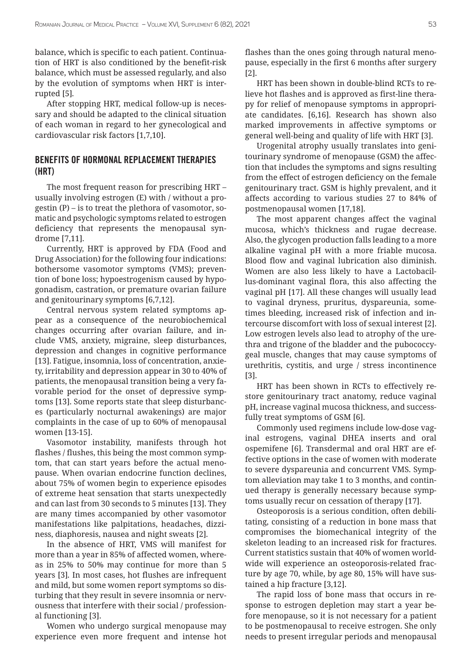balance, which is specific to each patient. Continuation of HRT is also conditioned by the benefit-risk balance, which must be assessed regularly, and also by the evolution of symptoms when HRT is interrupted [5]*.* 

After stopping HRT, medical follow-up is necessary and should be adapted to the clinical situation of each woman in regard to her gynecological and cardiovascular risk factors [1,7,10].

## BENEFITS OF HORMONAL REPLACEMENT THERAPIES (HRT)

The most frequent reason for prescribing HRT – usually involving estrogen (E) with / without a progestin (P) – is to treat the plethora of vasomotor, somatic and psychologic symptoms related to estrogen deficiency that represents the menopausal syndrome [7,11].

Currently, HRT is approved by FDA (Food and Drug Association) for the following four indications: bothersome vasomotor symptoms (VMS); prevention of bone loss; hypoestrogenism caused by hypogonadism, castration, or premature ovarian failure and genitourinary symptoms [6,7,12].

Central nervous system related symptoms appear as a consequence of the neurobiochemical changes occurring after ovarian failure, and include VMS, anxiety, migraine, sleep disturbances, depression and changes in cognitive performance [13]. Fatigue, insomnia, loss of concentration, anxiety, irritability and depression appear in 30 to 40% of patients, the menopausal transition being a very favorable period for the onset of depressive symptoms [13]. Some reports state that sleep disturbances (particularly nocturnal awakenings) are major complaints in the case of up to 60% of menopausal women [13-15].

Vasomotor instability, manifests through hot flashes / flushes, this being the most common symptom, that can start years before the actual menopause. When ovarian endocrine function declines, about 75% of women begin to experience episodes of extreme heat sensation that starts unexpectedly and can last from 30 seconds to 5 minutes [13]. They are many times accompanied by other vasomotor manifestations like palpitations, headaches, dizziness, diaphoresis, nausea and night sweats [2]*.*

In the absence of HRT, VMS will manifest for more than a year in 85% of affected women, whereas in 25% to 50% may continue for more than 5 years [3]*.* In most cases, hot flushes are infrequent and mild, but some women report symptoms so disturbing that they result in severe insomnia or nervousness that interfere with their social / professional functioning [3].

Women who undergo surgical menopause may experience even more frequent and intense hot flashes than the ones going through natural menopause, especially in the first 6 months after surgery [2].

HRT has been shown in double-blind RCTs to relieve hot flashes and is approved as first-line therapy for relief of menopause symptoms in appropriate candidates. [6,16]. Research has shown also marked improvements in affective symptoms or general well-being and quality of life with HRT [3].

Urogenital atrophy usually translates into genitourinary syndrome of menopause (GSM) the affection that includes the symptoms and signs resulting from the effect of estrogen deficiency on the female genitourinary tract. GSM is highly prevalent, and it affects according to various studies 27 to 84% of postmenopausal women [17,18].

The most apparent changes affect the vaginal mucosa, which's thickness and rugae decrease. Also, the glycogen production falls leading to a more alkaline vaginal pH with a more friable mucosa. Blood flow and vaginal lubrication also diminish. Women are also less likely to have a Lactobacillus-dominant vaginal flora, this also affecting the vaginal pH [17]. All these changes will usually lead to vaginal dryness, pruritus, dyspareunia, sometimes bleeding, increased risk of infection and intercourse discomfort with loss of sexual interest [2]. Low estrogen levels also lead to atrophy of the urethra and trigone of the bladder and the pubococcygeal muscle, changes that may cause symptoms of urethritis, cystitis, and urge / stress incontinence [3].

HRT has been shown in RCTs to effectively restore genitourinary tract anatomy, reduce vaginal pH, increase vaginal mucosa thickness, and successfully treat symptoms of GSM [6].

Commonly used regimens include low-dose vaginal estrogens, vaginal DHEA inserts and oral ospemifene [6]. Transdermal and oral HRT are effective options in the case of women with moderate to severe dyspareunia and concurrent VMS. Symptom alleviation may take 1 to 3 months, and continued therapy is generally necessary because symptoms usually recur on cessation of therapy [17].

Osteoporosis is a serious condition, often debilitating, consisting of a reduction in bone mass that compromises the biomechanical integrity of the skeleton leading to an increased risk for fractures. Current statistics sustain that 40% of women worldwide will experience an osteoporosis-related fracture by age 70, while, by age 80, 15% will have sustained a hip fracture [3,12].

The rapid loss of bone mass that occurs in response to estrogen depletion may start a year before menopause, so it is not necessary for a patient to be postmenopausal to receive estrogen. She only needs to present irregular periods and menopausal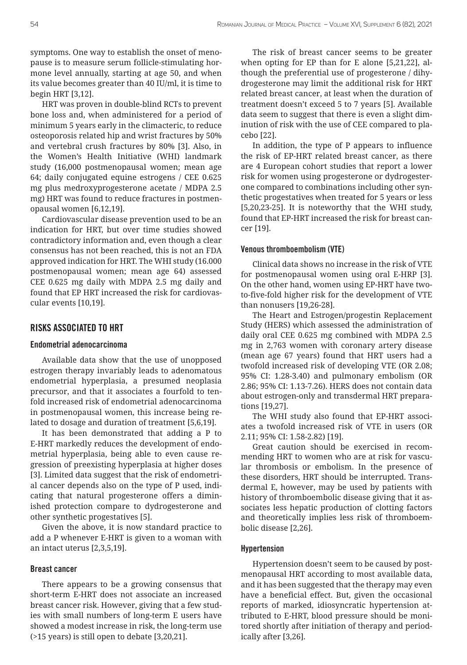symptoms. One way to establish the onset of menopause is to measure serum follicle-stimulating hormone level annually, starting at age 50, and when its value becomes greater than 40 IU/ml, it is time to begin HRT [3,12].

HRT was proven in double-blind RCTs to prevent bone loss and, when administered for a period of minimum 5 years early in the climacteric, to reduce osteoporosis related hip and wrist fractures by 50% and vertebral crush fractures by 80% [3]. Also, in the Women's Health Initiative (WHI) landmark study (16,000 postmenopausal women; mean age 64; daily conjugated equine estrogens / CEE 0.625 mg plus medroxyprogesterone acetate / MDPA 2.5 mg) HRT was found to reduce fractures in postmenopausal women [6,12,19].

Cardiovascular disease prevention used to be an indication for HRT, but over time studies showed contradictory information and, even though a clear consensus has not been reached, this is not an FDA approved indication for HRT. The WHI study (16.000 postmenopausal women; mean age 64) assessed CEE 0.625 mg daily with MDPA 2.5 mg daily and found that EP HRT increased the risk for cardiovascular events [10,19].

# RISKS ASSOCIATED TO HRT

#### Endometrial adenocarcinoma

Available data show that the use of unopposed estrogen therapy invariably leads to adenomatous endometrial hyperplasia, a presumed neoplasia precursor, and that it associates a fourfold to tenfold increased risk of endometrial adenocarcinoma in postmenopausal women, this increase being related to dosage and duration of treatment [5,6,19].

It has been demonstrated that adding a P to E-HRT markedly reduces the development of endometrial hyperplasia, being able to even cause regression of preexisting hyperplasia at higher doses [3]. Limited data suggest that the risk of endometrial cancer depends also on the type of P used, indicating that natural progesterone offers a diminished protection compare to dydrogesterone and other synthetic progestatives [5].

Given the above, it is now standard practice to add a P whenever E-HRT is given to a woman with an intact uterus [2,3,5,19].

#### Breast cancer

There appears to be a growing consensus that short-term E-HRT does not associate an increased breast cancer risk. However, giving that a few studies with small numbers of long-term E users have showed a modest increase in risk, the long-term use (>15 years) is still open to debate [3,20,21].

The risk of breast cancer seems to be greater when opting for EP than for E alone [5,21,22], although the preferential use of progesterone / dihydrogesterone may limit the additional risk for HRT related breast cancer, at least when the duration of treatment doesn't exceed 5 to 7 years [5]. Available data seem to suggest that there is even a slight diminution of risk with the use of CEE compared to placebo [22].

In addition, the type of P appears to influence the risk of EP-HRT related breast cancer, as there are 4 European cohort studies that report a lower risk for women using progesterone or dydrogesterone compared to combinations including other synthetic progestatives when treated for 5 years or less [5,20,23-25]. It is noteworthy that the WHI study, found that EP-HRT increased the risk for breast cancer [19].

#### Venous thromboembolism (VTE)

Clinical data shows no increase in the risk of VTE for postmenopausal women using oral E-HRP [3]. On the other hand, women using EP-HRT have twoto-five-fold higher risk for the development of VTE than nonusers [19,26-28].

The Heart and Estrogen/progestin Replacement Study (HERS) which assessed the administration of daily oral CEE 0.625 mg combined with MDPA 2.5 mg in 2,763 women with coronary artery disease (mean age 67 years) found that HRT users had a twofold increased risk of developing VTE (OR 2.08; 95% CI: 1.28-3.40) and pulmonary embolism (OR 2.86; 95% CI: 1.13-7.26). HERS does not contain data about estrogen-only and transdermal HRT preparations [19,27].

The WHI study also found that EP-HRT associates a twofold increased risk of VTE in users (OR 2.11; 95% CI: 1.58-2.82) [19].

Great caution should be exercised in recommending HRT to women who are at risk for vascular thrombosis or embolism. In the presence of these disorders, HRT should be interrupted. Transdermal E, however, may be used by patients with history of thromboembolic disease giving that it associates less hepatic production of clotting factors and theoretically implies less risk of thromboembolic disease [2,26].

#### Hypertension

Hypertension doesn't seem to be caused by postmenopausal HRT according to most available data, and it has been suggested that the therapy may even have a beneficial effect. But, given the occasional reports of marked, idiosyncratic hypertension attributed to E-HRT, blood pressure should be monitored shortly after initiation of therapy and periodically after [3,26].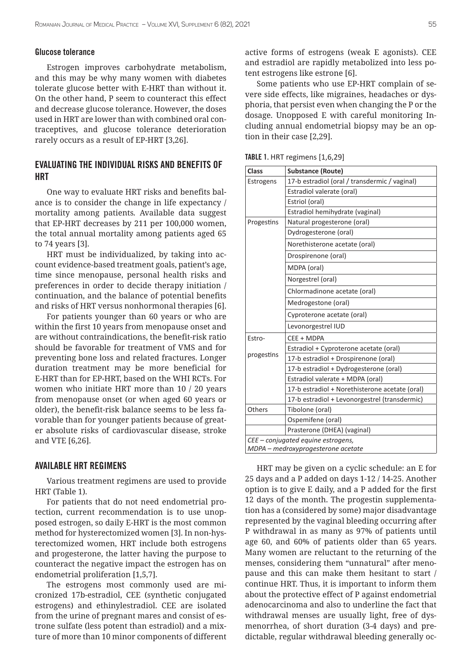#### Glucose tolerance

Estrogen improves carbohydrate metabolism, and this may be why many women with diabetes tolerate glucose better with E-HRT than without it. On the other hand, P seem to counteract this effect and decrease glucose tolerance. However, the doses used in HRT are lower than with combined oral contraceptives, and glucose tolerance deterioration rarely occurs as a result of EP-HRT [3,26].

## EVALUATING THE INDIVIDUAL RISKS AND BENEFITS OF HRT

One way to evaluate HRT risks and benefits balance is to consider the change in life expectancy / mortality among patients*.* Available data suggest that EP-HRT decreases by 211 per 100,000 women, the total annual mortality among patients aged 65 to 74 years [3].

HRT must be individualized, by taking into account evidence-based treatment goals, patient's age, time since menopause, personal health risks and preferences in order to decide therapy initiation / continuation, and the balance of potential benefits and risks of HRT versus nonhormonal therapies [6].

For patients younger than 60 years or who are within the first 10 years from menopause onset and are without contraindications, the benefit-risk ratio should be favorable for treatment of VMS and for preventing bone loss and related fractures. Longer duration treatment may be more beneficial for E-HRT than for EP-HRT, based on the WHI RCTs. For women who initiate HRT more than 10 / 20 years from menopause onset (or when aged 60 years or older), the benefit-risk balance seems to be less favorable than for younger patients because of greater absolute risks of cardiovascular disease, stroke and VTE [6,26].

#### AVAILABLE HRT REGIMENS

Various treatment regimens are used to provide HRT (Table 1).

For patients that do not need endometrial protection, current recommendation is to use unopposed estrogen, so daily E-HRT is the most common method for hysterectomized women [3]. In non-hysterectomized women, HRT include both estrogens and progesterone, the latter having the purpose to counteract the negative impact the estrogen has on endometrial proliferation [1,5,7].

The estrogens most commonly used are micronized 17b-estradiol, CEE (synthetic conjugated estrogens) and ethinylestradiol. CEE are isolated from the urine of pregnant mares and consist of estrone sulfate (less potent than estradiol) and a mixture of more than 10 minor components of different active forms of estrogens (weak E agonists). CEE and estradiol are rapidly metabolized into less potent estrogens like estrone [6].

Some patients who use EP-HRT complain of severe side effects, like migraines, headaches or dysphoria, that persist even when changing the P or the dosage. Unopposed E with careful monitoring Including annual endometrial biopsy may be an option in their case [2,29].

| <b>Class</b>                       | <b>Substance (Route)</b>                       |
|------------------------------------|------------------------------------------------|
| Estrogens                          | 17-b estradiol (oral / transdermic / vaginal)  |
|                                    | Estradiol valerate (oral)                      |
|                                    | Estriol (oral)                                 |
|                                    | Estradiol hemihydrate (vaginal)                |
| Progestins                         | Natural progesterone (oral)                    |
|                                    | Dydrogesterone (oral)                          |
|                                    | Norethisterone acetate (oral)                  |
|                                    | Drospirenone (oral)                            |
|                                    | MDPA (oral)                                    |
|                                    | Norgestrel (oral)                              |
|                                    | Chlormadinone acetate (oral)                   |
|                                    | Medrogestone (oral)                            |
|                                    | Cyproterone acetate (oral)                     |
|                                    | Levonorgestrel IUD                             |
| Estro-                             | CEE + MDPA                                     |
| progestins                         | Estradiol + Cyproterone acetate (oral)         |
|                                    | 17-b estradiol + Drospirenone (oral)           |
|                                    | 17-b estradiol + Dydrogesterone (oral)         |
|                                    | Estradiol valerate + MDPA (oral)               |
|                                    | 17-b estradiol + Norethisterone acetate (oral) |
|                                    | 17-b estradiol + Levonorgestrel (transdermic)  |
| Others                             | Tibolone (oral)                                |
|                                    | Ospemifene (oral)                              |
|                                    | Prasterone (DHEA) (vaginal)                    |
| CEE – conjugated equine estrogens, |                                                |
| MDPA – medroxyprogesterone acetate |                                                |

TABLE 1. HRT regimens [1,6,29]

HRT may be given on a cyclic schedule: an E for 25 days and a P added on days 1-12 / 14-25. Another option is to give E daily, and a P added for the first 12 days of the month. The progestin supplementation has a (considered by some) major disadvantage represented by the vaginal bleeding occurring after P withdrawal in as many as 97% of patients until age 60, and 60% of patients older than 65 years. Many women are reluctant to the returning of the menses, considering them "unnatural" after menopause and this can make them hesitant to start / continue HRT. Thus, it is important to inform them about the protective effect of P against endometrial adenocarcinoma and also to underline the fact that withdrawal menses are usually light, free of dysmenorrhea, of short duration (3-4 days) and predictable, regular withdrawal bleeding generally oc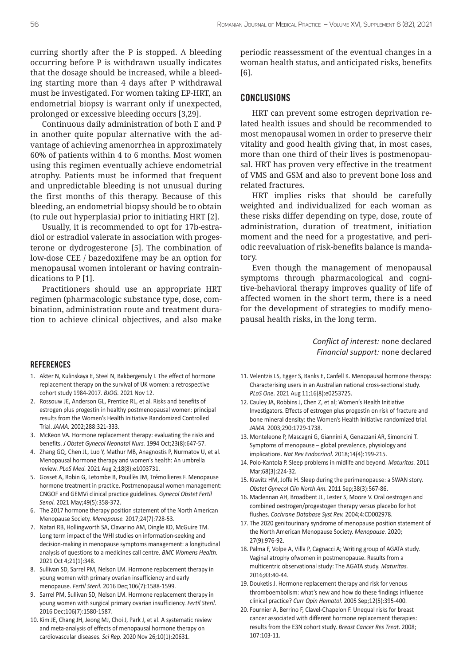curring shortly after the P is stopped. A bleeding occurring before P is withdrawn usually indicates that the dosage should be increased, while a bleeding starting more than 4 days after P withdrawal must be investigated. For women taking EP-HRT, an endometrial biopsy is warrant only if unexpected, prolonged or excessive bleeding occurs [3,29].

Continuous daily administration of both E and P in another quite popular alternative with the advantage of achieving amenorrhea in approximately 60% of patients within 4 to 6 months. Most women using this regimen eventually achieve endometrial atrophy. Patients must be informed that frequent and unpredictable bleeding is not unusual during the first months of this therapy. Because of this bleeding, an endometrial biopsy should be to obtain (to rule out hyperplasia) prior to initiating HRT [2].

Usually, it is recommended to opt for 17b-estradiol or estradiol valerate in association with progesterone or dydrogesterone [5]. The combination of low-dose CEE / bazedoxifene may be an option for menopausal women intolerant or having contraindications to P [1].

Practitioners should use an appropriate HRT regimen (pharmacologic substance type, dose, combination, administration route and treatment duration to achieve clinical objectives, and also make periodic reassessment of the eventual changes in a woman health status, and anticipated risks, benefits [6].

### CONCLUSIONS

HRT can prevent some estrogen deprivation related health issues and should be recommended to most menopausal women in order to preserve their vitality and good health giving that, in most cases, more than one third of their lives is postmenopausal. HRT has proven very effective in the treatment of VMS and GSM and also to prevent bone loss and related fractures.

HRT implies risks that should be carefully weighted and individualized for each woman as these risks differ depending on type, dose, route of administration, duration of treatment, initiation moment and the need for a progestative, and periodic reevaluation of risk-benefits balance is mandatory.

Even though the management of menopausal symptoms through pharmacological and cognitive-behavioral therapy improves quality of life of affected women in the short term, there is a need for the development of strategies to modify menopausal health risks, in the long term.

> *Conflict of interest:* none declared *Financial support:* none declared

#### REFERENCES

- 1. Akter N, Kulinskaya E, Steel N, Bakbergenuly I. The effect of hormone replacement therapy on the survival of UK women: a retrospective cohort study 1984-2017. *BJOG.* 2021 Nov 12.
- 2. Rossouw JE, Anderson GL, Prentice RL, et al. Risks and benefits of estrogen plus progestin in healthy postmenopausal women: principal results from the Women's Health Initiative Randomized Controlled Trial. *JAMA.* 2002;288:321-333.
- 3. McKeon VA. Hormone replacement therapy: evaluating the risks and benefits. *J Obstet Gynecol Neonatal Nurs.* 1994 Oct;23(8):647-57.
- 4. Zhang GQ, Chen JL, Luo Y, Mathur MB, Anagnostis P, Nurmatov U, et al. Menopausal hormone therapy and women's health: An umbrella review. *PLoS Med.* 2021 Aug 2;18(8):e1003731.
- 5. Gosset A, Robin G, Letombe B, Pouillès JM, Trémollieres F. Menopause hormone treatment in practice. Postmenopausal women management: CNGOF and GEMVi clinical practice guidelines. *Gynecol Obstet Fertil Senol.* 2021 May;49(5):358-372.
- 6. The 2017 hormone therapy position statement of the North American Menopause Society. *Menopause.* 2017;24(7):728-53.
- 7. Natari RB, Hollingworth SA, Clavarino AM, Dingle KD, McGuire TM. Long term impact of the WHI studies on information-seeking and decision-making in menopause symptoms management: a longitudinal analysis of questions to a medicines call centre. *BMC Womens Health.* 2021 Oct 4;21(1):348.
- 8. Sullivan SD, Sarrel PM, Nelson LM. Hormone replacement therapy in young women with primary ovarian insufficiency and early menopause. *Fertil Steril.* 2016 Dec;106(7):1588-1599.
- 9. Sarrel PM, Sullivan SD, Nelson LM. Hormone replacement therapy in young women with surgical primary ovarian insufficiency. *Fertil Steril.* 2016 Dec;106(7):1580-1587.
- 10. Kim JE, Chang JH, Jeong MJ, Choi J, Park J, et al. A systematic review and meta-analysis of effects of menopausal hormone therapy on cardiovascular diseases. *Sci Rep.* 2020 Nov 26;10(1):20631.
- 11. Velentzis LS, Egger S, Banks E, Canfell K. Menopausal hormone therapy: Characterising users in an Australian national cross-sectional study. *PLoS One.* 2021 Aug 11;16(8):e0253725.
- 12. Cauley JA, Robbins J, Chen Z, et al; Women's Health Initiative Investigators. Effects of estrogen plus progestin on risk of fracture and bone mineral density: the Women's Health Initiative randomized trial. *JAMA.* 2003;290:1729-1738.
- 13. Monteleone P, Mascagni G, Giannini A, Genazzani AR, Simoncini T. Symptoms of menopause – global prevalence, physiology and implications. *Nat Rev Endocrinol.* 2018;14(4):199-215.
- 14. Polo-Kantola P. Sleep problems in midlife and beyond. *Maturitas.* 2011 Mar;68(3):224-32.
- 15. Kravitz HM, Joffe H. Sleep during the perimenopause: a SWAN story. *Obstet Gynecol Clin North Am.* 2011 Sep;38(3):567-86.
- 16. Maclennan AH, Broadbent JL, Lester S, Moore V. Oral oestrogen and combined oestrogen/progestogen therapy versus placebo for hot flushes. *Cochrane Database Syst Rev.* 2004;4:CD002978.
- 17. The 2020 genitourinary syndrome of menopause position statement of the North American Menopause Society. *Menopause.* 2020; 27(9):976-92.
- 18. Palma F, Volpe A, Villa P, Cagnacci A; Writing group of AGATA study. Vaginal atrophy ofwomen in postmenopause. Results from a multicentric observational study: The AGATA study. *Maturitas.*  2016;83:40-44.
- 19. Douketis J. Hormone replacement therapy and risk for venous thromboembolism: what's new and how do these findings influence clinical practice? *Curr Opin Hematol.* 2005 Sep;12(5):395-400.
- 20. Fournier A, Berrino F, Clavel-Chapelon F. Unequal risks for breast cancer associated with different hormone replacement therapies: results from the E3N cohort study. *Breast Cancer Res Treat.* 2008; 107:103-11.